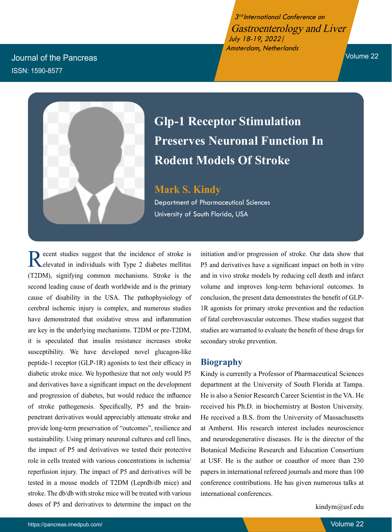3rd International Conference on Gastroenterology and Liver July 18-19, 2022| Amsterdam, Netherlands

Volume 22

Journal of the Pancreas ISSN: 1590-8577



## **Glp-1 Receptor Stimulation Preserves Neuronal Function In Rodent Models Of Stroke**

**Mark S. Kindy** Department of Pharmaceutical Sciences University of South Florida, USA

Recent studies suggest that the incidence of stroke is elevated in individuals with Type 2 diabetes mellitus (T2DM), signifying common mechanisms. Stroke is the second leading cause of death worldwide and is the primary cause of disability in the USA. The pathophysiology of cerebral ischemic injury is complex, and numerous studies have demonstrated that oxidative stress and inflammation are key in the underlying mechanisms. T2DM or pre-T2DM, it is speculated that insulin resistance increases stroke susceptibility. We have developed novel glucagon-like peptide-1 receptor (GLP-1R) agonists to test their efficacy in diabetic stroke mice. We hypothesize that not only would P5 and derivatives have a significant impact on the development and progression of diabetes, but would reduce the influence of stroke pathogenesis. Specifically, P5 and the brainpenetrant derivatives would appreciably attenuate stroke and provide long-term preservation of "outcomes", resilience and sustainability. Using primary neuronal cultures and cell lines, the impact of P5 and derivatives we tested their protective role in cells treated with various concentrations in ischemia/ reperfusion injury. The impact of P5 and derivatives will be tested in a mouse models of T2DM (Leprdb/db mice) and stroke. The db/db with stroke mice will be treated with various doses of P5 and derivatives to determine the impact on the

initiation and/or progression of stroke. Our data show that P5 and derivatives have a significant impact on both in vitro and in vivo stroke models by reducing cell death and infarct volume and improves long-term behavioral outcomes. In conclusion, the present data demonstrates the benefit of GLP-1R agonists for primary stroke prevention and the reduction of fatal cerebrovascular outcomes. These studies suggest that studies are warranted to evaluate the benefit of these drugs for secondary stroke prevention.

## **Biography**

Kindy is currently a Professor of Pharmaceutical Sciences department at the University of South Florida at Tampa. He is also a Senior Research Career Scientist in the VA. He received his Ph.D. in biochemistry at Boston University. He received a B.S. from the University of Massachusetts at Amherst. His research interest includes neuroscience and neurodegenerative diseases. He is the director of the Botanical Medicine Research and Education Consortium at USF. He is the author or coauthor of more than 230 papers in international refereed journals and more than 100 conference contributions. He has given numerous talks at international conferences.

kindym@usf.edu